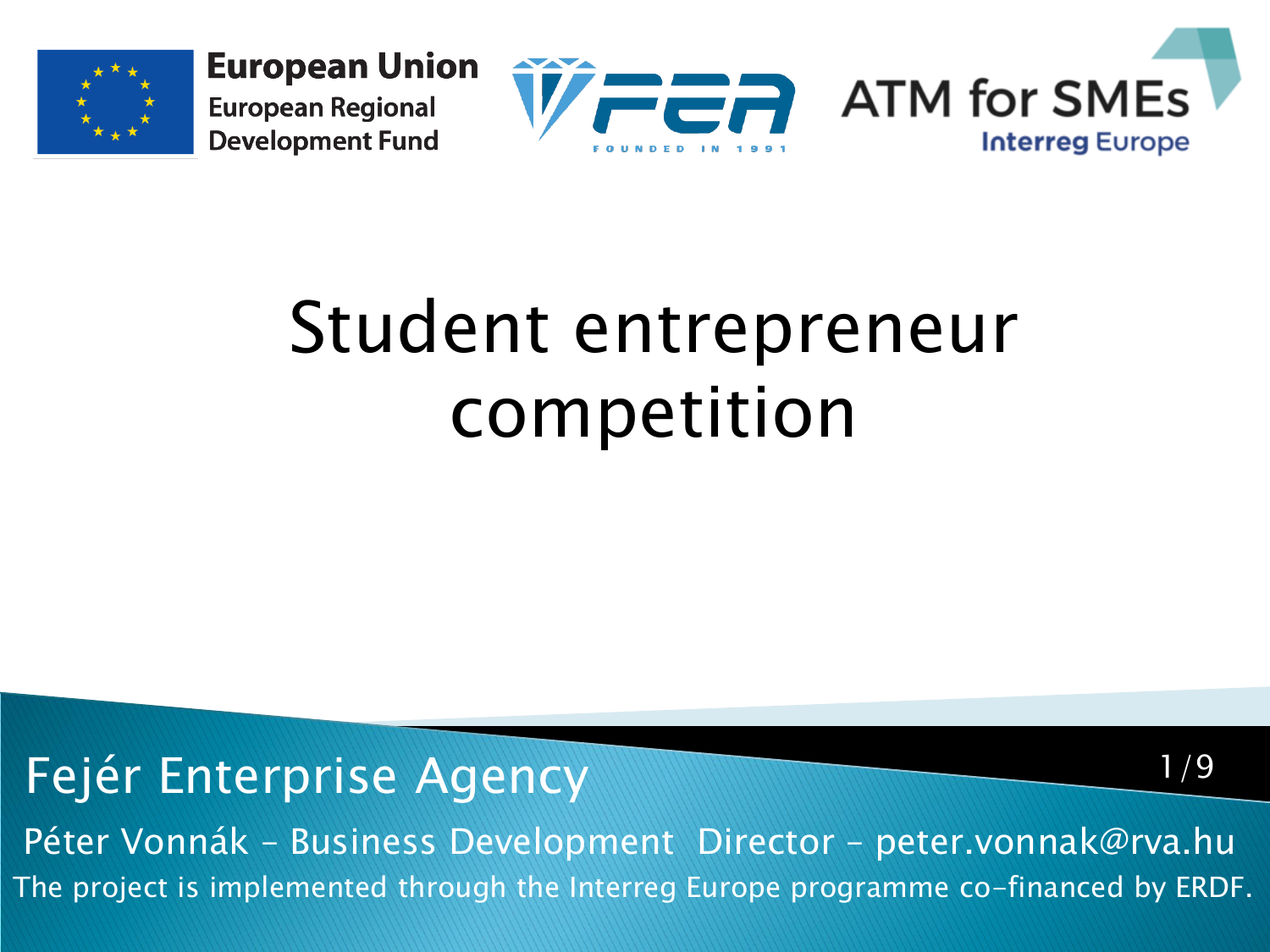

**European Union European Regional Development Fund** 



1/9

## Student entrepreneur competition

Fejér Enterprise Agency

The project is implemented through the Interreg Europe programme co-financed by ERDF. Péter Vonnák – Business Development Director – peter.vonnak@rva.hu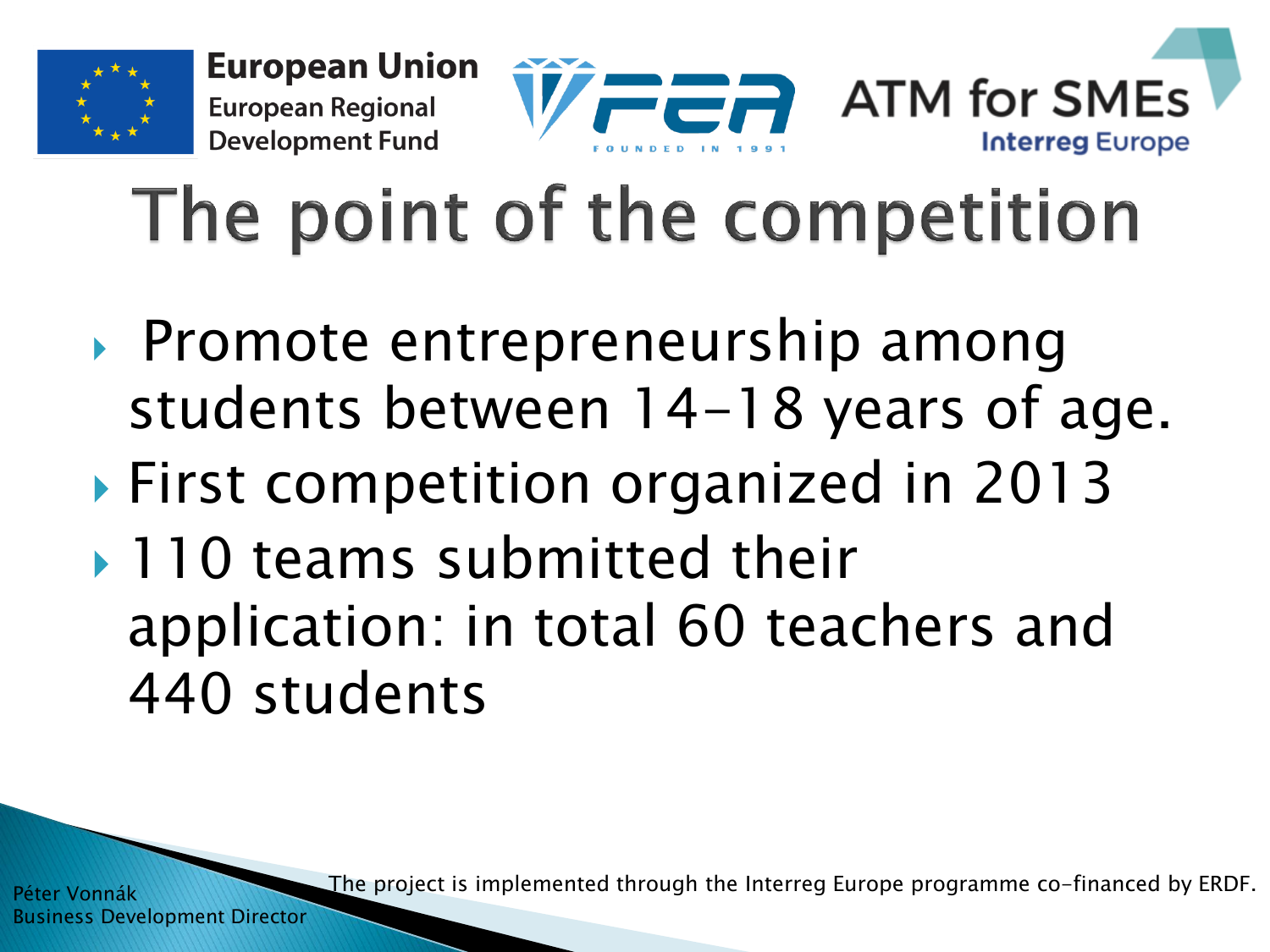

## The point of the competition

- ▶ Promote entrepreneurship among students between 14-18 years of age.
- ▶ First competition organized in 2013
- ▶ 110 teams submitted their application: in total 60 teachers and 440 students

The project is implemented through the Interreg Europe programme co-financed by ERDF.

Péter Vonnák Business Development Director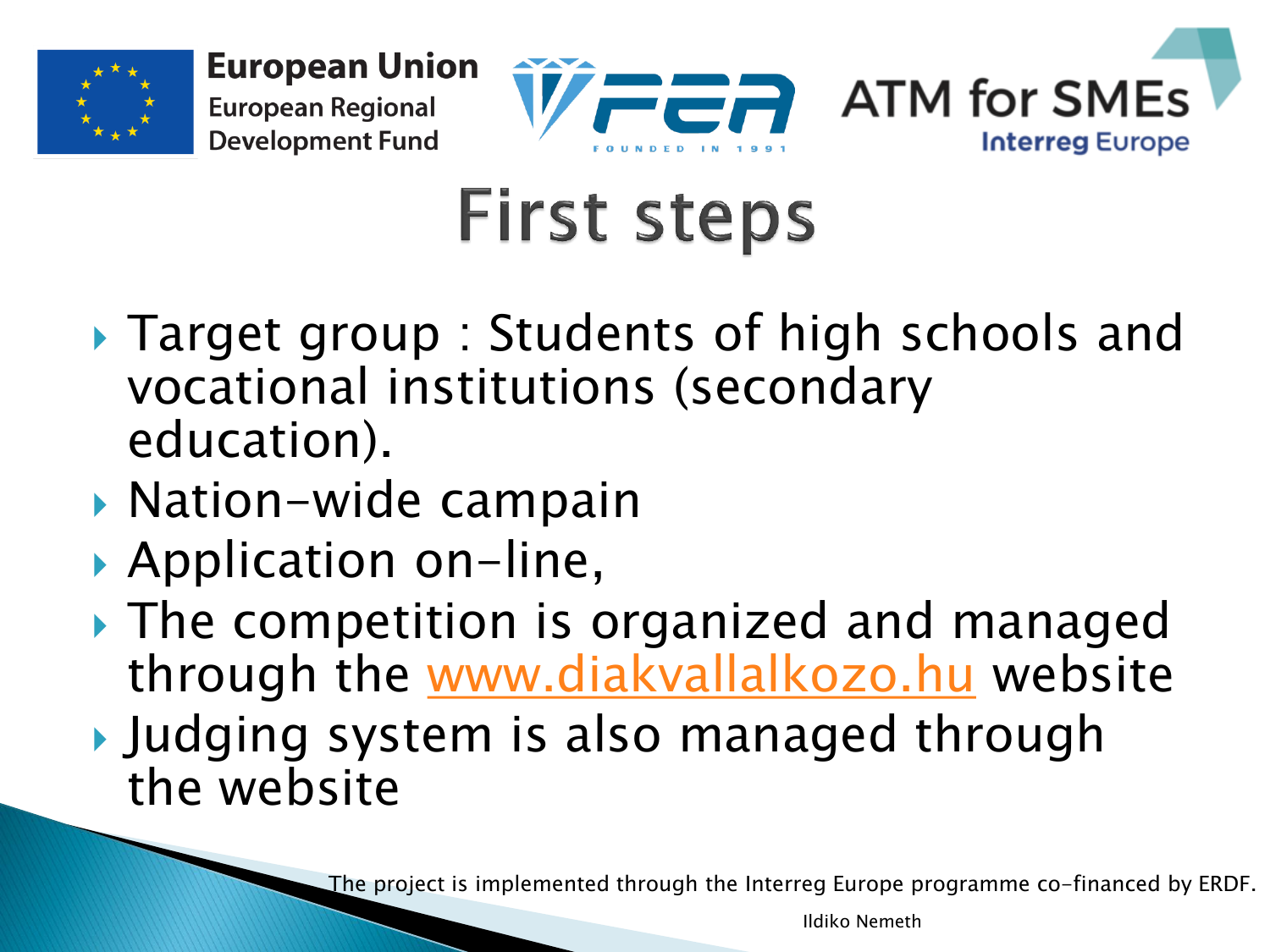



## **First steps**

- ▶ Target group : Students of high schools and vocational institutions (secondary education).
- ▶ Nation-wide campain
- ▶ Application on-line,
- The competition is organized and managed through the [www.diakvallalkozo.hu](http://www.diakvallalkozo.hu/) website
- Judging system is also managed through the website

The project is implemented through the Interreg Europe programme co-financed by ERDF.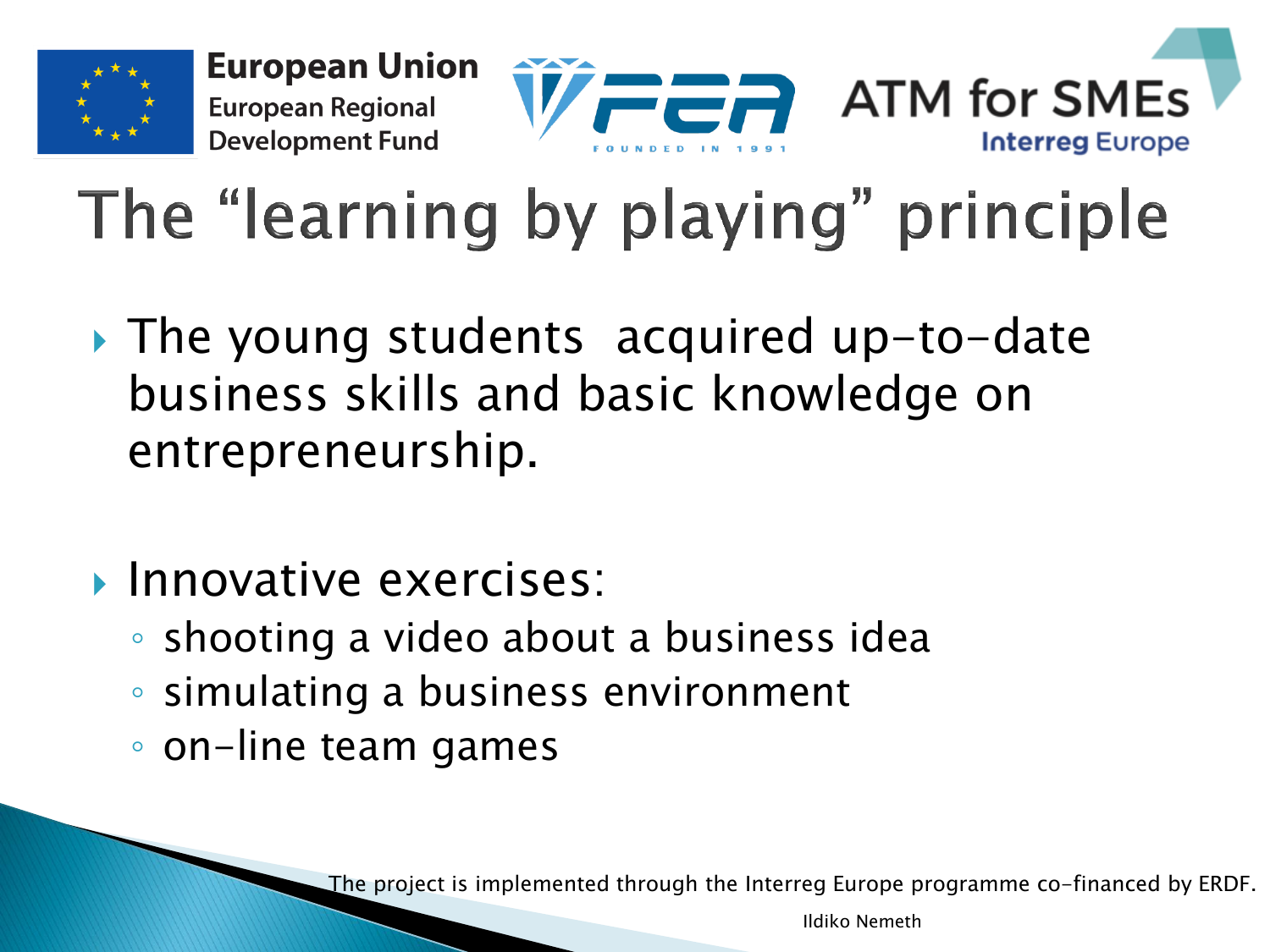

## The "learning by playing" principle

- ▶ The young students acquired up-to-date business skills and basic knowledge on entrepreneurship.
- $\blacktriangleright$  Innovative exercises:
	- shooting a video about a business idea
	- simulating a business environment
	- on-line team games

The project is implemented through the Interreg Europe programme co-financed by ERDF.